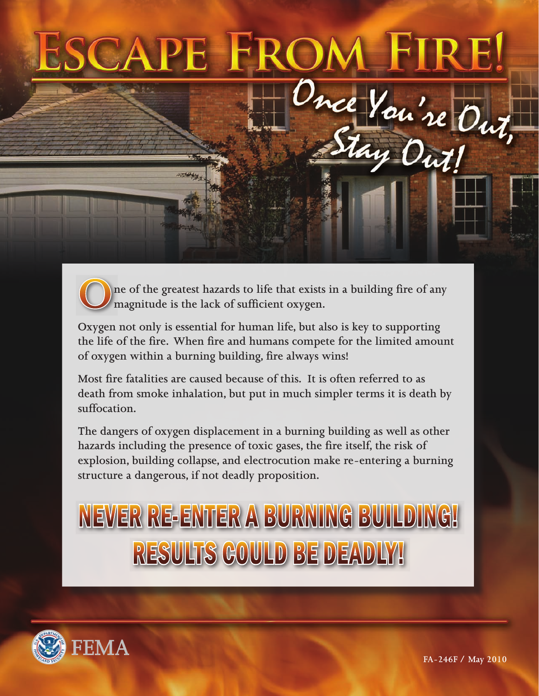# CA Once You're Out,

ne of the greatest hazards to life that exists in a building fire of any magnitude is the lack of sufficient oxygen.

Oxygen not only is essential for human life, but also is key to supporting the life of the fire. When fire and humans compete for the limited amount of oxygen within a burning building, fire always wins!

Most fire fatalities are caused because of this. It is often referred to as death from smoke inhalation, but put in much simpler terms it is death by suffocation.

The dangers of oxygen displacement in a burning building as well as other hazards including the presence of toxic gases, the fire itself, the risk of explosion, building collapse, and electrocution make re-entering a burning structure a dangerous, if not deadly proposition.

## NEVER RE-ENTER A BURNING BUILDING! RESULTS COULD BE DEADLY!